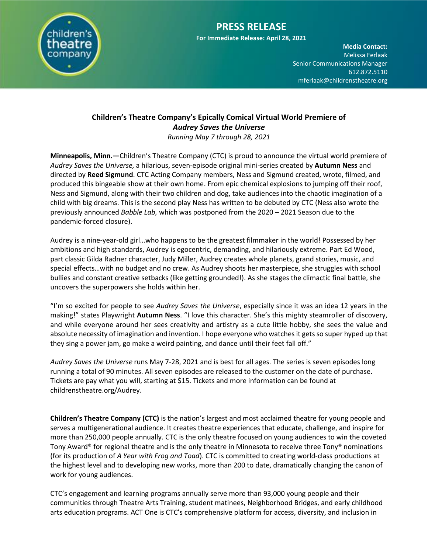

## **PRESS RELEASE**

**For Immediate Release: April 28, 2021**

**Media Contact:**  Melissa Ferlaak Senior Communications Manager 612.872.5110 [mferlaak@childrenstheatre.org](mailto:mferlaak@childrenstheatre.org)

## **Children's Theatre Company's Epically Comical Virtual World Premiere of**  *Audrey Saves the Universe*

*Running May 7 through 28, 2021*

**Minneapolis, Minn.—**Children's Theatre Company (CTC) is proud to announce the virtual world premiere of *Audrey Saves the Universe,* a hilarious, seven-episode original mini-series created by **Autumn Ness** and directed by **Reed Sigmund**. CTC Acting Company members, Ness and Sigmund created, wrote, filmed, and produced this bingeable show at their own home. From epic chemical explosions to jumping off their roof, Ness and Sigmund, along with their two children and dog, take audiences into the chaotic imagination of a child with big dreams. This is the second play Ness has written to be debuted by CTC (Ness also wrote the previously announced *Babble Lab,* which was postponed from the 2020 – 2021 Season due to the pandemic-forced closure).

Audrey is a nine-year-old girl…who happens to be the greatest filmmaker in the world! Possessed by her ambitions and high standards, Audrey is egocentric, demanding, and hilariously extreme. Part Ed Wood, part classic Gilda Radner character, Judy Miller, Audrey creates whole planets, grand stories, music, and special effects…with no budget and no crew. As Audrey shoots her masterpiece, she struggles with school bullies and constant creative setbacks (like getting grounded!). As she stages the climactic final battle, she uncovers the superpowers she holds within her.

"I'm so excited for people to see *Audrey Saves the Universe*, especially since it was an idea 12 years in the making!" states Playwright **Autumn Ness**. "I love this character. She's this mighty steamroller of discovery, and while everyone around her sees creativity and artistry as a cute little hobby, she sees the value and absolute necessity of imagination and invention. I hope everyone who watches it gets so super hyped up that they sing a power jam, go make a weird painting, and dance until their feet fall off."

*Audrey Saves the Universe* runs May 7-28, 2021 and is best for all ages. The series is seven episodes long running a total of 90 minutes. All seven episodes are released to the customer on the date of purchase. Tickets are pay what you will, starting at \$15. Tickets and more information can be found at childrenstheatre.org/Audrey.

**Children's Theatre Company (CTC)** is the nation's largest and most acclaimed theatre for young people and serves a multigenerational audience. It creates theatre experiences that educate, challenge, and inspire for more than 250,000 people annually. CTC is the only theatre focused on young audiences to win the coveted Tony Award® for regional theatre and is the only theatre in Minnesota to receive three Tony® nominations (for its production of *A Year with Frog and Toad*). CTC is committed to creating world-class productions at the highest level and to developing new works, more than 200 to date, dramatically changing the canon of work for young audiences.

CTC's engagement and learning programs annually serve more than 93,000 young people and their communities through Theatre Arts Training, student matinees, Neighborhood Bridges, and early childhood arts education programs. ACT One is CTC's comprehensive platform for access, diversity, and inclusion in